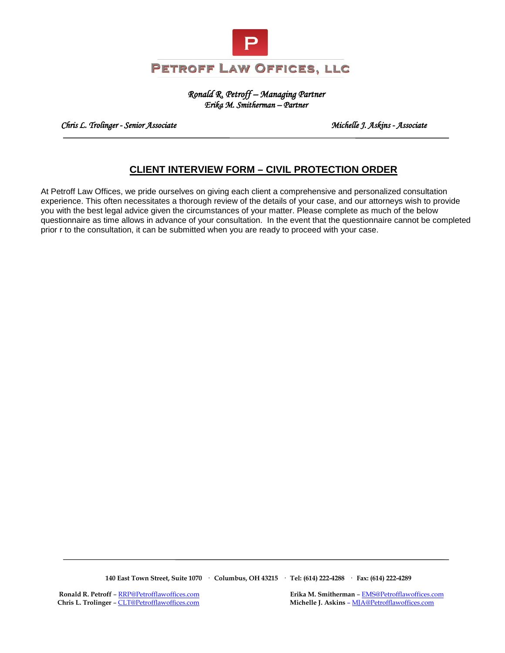

#### *Ronald R. Petroff – Managing Partner Erika M. Smitherman – Partner*

 *Chris L. Trolinger - Senior Associate Michelle J. Askins - Associate* 

# **CLIENT INTERVIEW FORM – CIVIL PROTECTION ORDER**

At Petroff Law Offices, we pride ourselves on giving each client a comprehensive and personalized consultation experience. This often necessitates a thorough review of the details of your case, and our attorneys wish to provide you with the best legal advice given the circumstances of your matter. Please complete as much of the below questionnaire as time allows in advance of your consultation. In the event that the questionnaire cannot be completed prior r to the consultation, it can be submitted when you are ready to proceed with your case.

 **140 East Town Street, Suite 1070 · Columbus, OH 43215 · Tel: (614) 222-4288 · Fax: (614) 222-4289**

**Ronald R. Petroff** [– RRP@Petrofflawoffices.com](mailto:RRP@Petrofflawoffices.com) **Erika M. Smitherman** [– EMS@Petrofflawoffices.com](mailto:%E2%80%93%20EMS@Petrofflawoffices.com) Chris L. Trolinger – CLT@Petrofflawoffices.com **Michelle J. Askins** – MJA@Petrofflawoffices.com **Michelle J. Askins** – **MJA@Petrofflawoffices.com**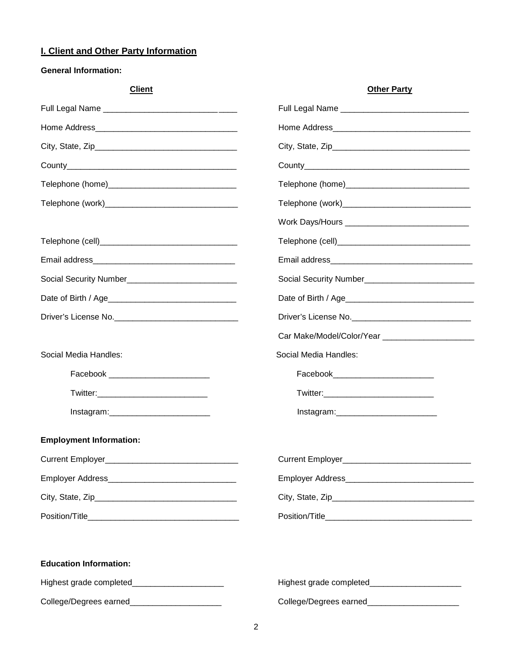## **I. Client and Other Party Information**

**General Information:**

| <b>Client</b>                                   | <b>Other Party</b>                              |  |  |
|-------------------------------------------------|-------------------------------------------------|--|--|
|                                                 |                                                 |  |  |
|                                                 |                                                 |  |  |
|                                                 |                                                 |  |  |
|                                                 |                                                 |  |  |
|                                                 |                                                 |  |  |
|                                                 |                                                 |  |  |
|                                                 |                                                 |  |  |
|                                                 |                                                 |  |  |
|                                                 |                                                 |  |  |
|                                                 |                                                 |  |  |
|                                                 |                                                 |  |  |
|                                                 | Driver's License No.                            |  |  |
|                                                 |                                                 |  |  |
| Social Media Handles:                           | Social Media Handles:                           |  |  |
| Facebook _____________________________          | Facebook_____________________________           |  |  |
|                                                 |                                                 |  |  |
| Instagram:_____________________________         |                                                 |  |  |
| <b>Employment Information:</b>                  |                                                 |  |  |
|                                                 |                                                 |  |  |
|                                                 |                                                 |  |  |
|                                                 |                                                 |  |  |
|                                                 |                                                 |  |  |
| <b>Education Information:</b>                   |                                                 |  |  |
| Highest grade completed________________________ | Highest grade completed________________________ |  |  |
| College/Degrees earned_______________________   | College/Degrees earned_______________________   |  |  |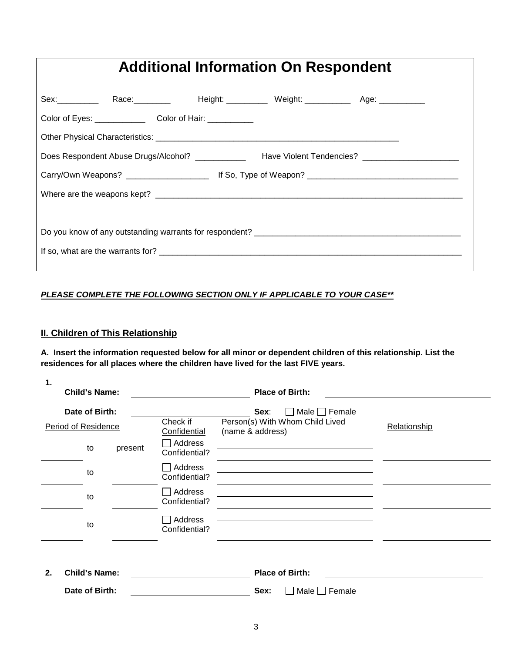# **Additional Information On Respondent**

|  | Sex:____________ Race:___________  Height: ______________Weight: ________________ Age: ___________  |  |  |  |  |
|--|-----------------------------------------------------------------------------------------------------|--|--|--|--|
|  | Color of Eyes: Color of Hair: Color of Hair:                                                        |  |  |  |  |
|  |                                                                                                     |  |  |  |  |
|  | Does Respondent Abuse Drugs/Alcohol? ______________ Have Violent Tendencies? ______________________ |  |  |  |  |
|  |                                                                                                     |  |  |  |  |
|  |                                                                                                     |  |  |  |  |
|  |                                                                                                     |  |  |  |  |
|  |                                                                                                     |  |  |  |  |
|  |                                                                                                     |  |  |  |  |
|  |                                                                                                     |  |  |  |  |

### *PLEASE COMPLETE THE FOLLOWING SECTION ONLY IF APPLICABLE TO YOUR CASE\*\**

## **II. Children of This Relationship**

**A. Insert the information requested below for all minor or dependent children of this relationship. List the residences for all places where the children have lived for the last FIVE years.** 

| 1.<br><b>Child's Name:</b>            |                          | <b>Place of Birth:</b>                                                                   |              |
|---------------------------------------|--------------------------|------------------------------------------------------------------------------------------|--------------|
| Date of Birth:<br>Period of Residence | Check if<br>Confidential | $\Box$ Male $\Box$ Female<br>Sex:<br>Person(s) With Whom Child Lived<br>(name & address) | Relationship |
| present<br>to                         | Address<br>Confidential? |                                                                                          |              |
| to                                    | Address<br>Confidential? |                                                                                          |              |
| to                                    | Address<br>Confidential? |                                                                                          |              |
| to                                    | Address<br>Confidential? |                                                                                          |              |
| <b>Child's Name:</b><br>2.            |                          | <b>Place of Birth:</b>                                                                   |              |

Date of Birth: **Network** Sex: Male Female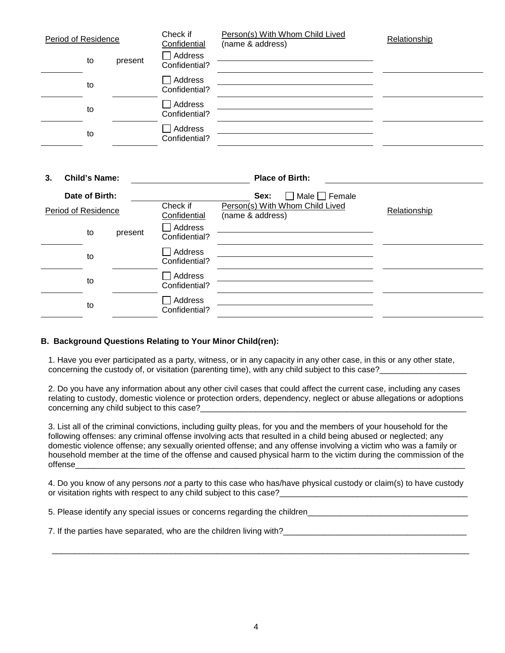| Period of Residence |               | Check if<br>Confidential | Person(s) With Whom Child Lived<br>(name & address) | Relationship           |  |
|---------------------|---------------|--------------------------|-----------------------------------------------------|------------------------|--|
|                     | to            | present                  | Address<br>Confidential?                            |                        |  |
|                     | to            |                          | Address<br>Confidential?                            |                        |  |
|                     | to            |                          | Address<br>Confidential?                            |                        |  |
|                     | to            |                          | Address<br>Confidential?                            |                        |  |
|                     |               |                          |                                                     |                        |  |
| 3                   | Child's Name: |                          |                                                     | <b>Place of Rirth:</b> |  |

| Date of Birth:      |  |                          |                                                                     | $\Box$ Male $\Box$ Female<br>Sex: |
|---------------------|--|--------------------------|---------------------------------------------------------------------|-----------------------------------|
| Period of Residence |  | Check if<br>Confidential | Person(s) With Whom Child Lived<br>Relationship<br>(name & address) |                                   |
| to                  |  | present                  | Address<br>Confidential?                                            |                                   |
| to                  |  |                          | Address<br>Confidential?                                            |                                   |
| to                  |  |                          | Address<br>Confidential?                                            |                                   |
| to                  |  |                          | Address<br>Confidential?                                            |                                   |
|                     |  |                          |                                                                     |                                   |

#### **B. Background Questions Relating to Your Minor Child(ren):**

1. Have you ever participated as a party, witness, or in any capacity in any other case, in this or any other state, concerning the custody of, or visitation (parenting time), with any child subject to this case?

2. Do you have any information about any other civil cases that could affect the current case, including any cases relating to custody, domestic violence or protection orders, dependency, neglect or abuse allegations or adoptions concerning any child subject to this case?

3. List all of the criminal convictions, including guilty pleas, for you and the members of your household for the following offenses: any criminal offense involving acts that resulted in a child being abused or neglected; any domestic violence offense; any sexually oriented offense; and any offense involving a victim who was a family or household member at the time of the offense and caused physical harm to the victim during the commission of the offense\_\_\_\_\_\_\_\_\_\_\_\_\_\_\_\_\_\_\_\_\_\_\_\_\_\_\_\_\_\_\_\_\_\_\_\_\_\_\_\_\_\_\_\_\_\_\_\_\_\_\_\_\_\_\_\_\_\_\_\_\_\_\_\_\_\_\_\_\_\_\_\_\_\_\_\_\_\_\_\_\_\_\_\_\_

4. Do you know of any persons *not* a party to this case who has/have physical custody or claim(s) to have custody or visitation rights with respect to any child subject to this case?

\_\_\_\_\_\_\_\_\_\_\_\_\_\_\_\_\_\_\_\_\_\_\_\_\_\_\_\_\_\_\_\_\_\_\_\_\_\_\_\_\_\_\_\_\_\_\_\_\_\_\_\_\_\_\_\_\_\_\_\_\_\_\_\_\_\_\_\_\_\_\_\_\_\_\_\_\_\_\_\_\_\_\_\_\_\_\_\_\_\_\_

5. Please identify any special issues or concerns regarding the children\_\_\_\_\_\_\_\_\_\_\_\_\_\_\_\_\_\_\_\_\_\_\_\_\_\_\_\_\_\_\_\_\_\_\_

7. If the parties have separated, who are the children living with?\_\_\_\_\_\_\_\_\_\_\_\_\_\_